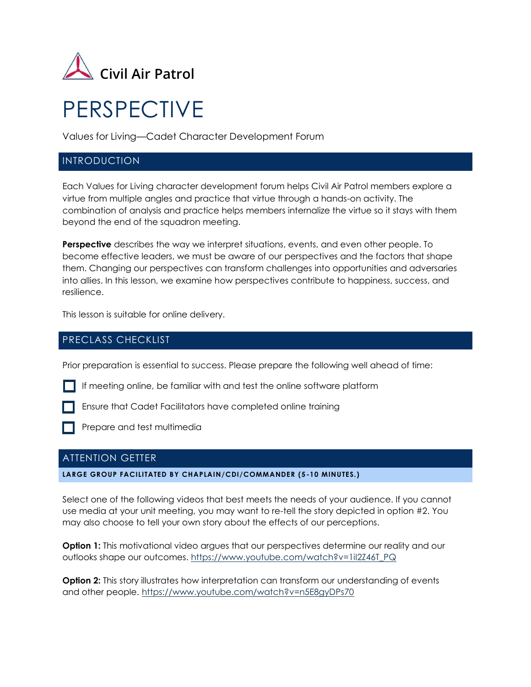

# PERSPECTIVE

Values for Living—Cadet Character Development Forum

## INTRODUCTION

Each Values for Living character development forum helps Civil Air Patrol members explore a virtue from multiple angles and practice that virtue through a hands-on activity. The combination of analysis and practice helps members internalize the virtue so it stays with them beyond the end of the squadron meeting.

**Perspective** describes the way we interpret situations, events, and even other people. To become effective leaders, we must be aware of our perspectives and the factors that shape them. Changing our perspectives can transform challenges into opportunities and adversaries into allies. In this lesson, we examine how perspectives contribute to happiness, success, and resilience.

This lesson is suitable for online delivery.

# PRECLASS CHECKLIST

Prior preparation is essential to success. Please prepare the following well ahead of time:

If meeting online, be familiar with and test the online software platform

Ensure that Cadet Facilitators have completed online training

Prepare and test multimedia

# ATTENTION GETTER

**LARGE GROUP FACILITATED BY CHAPLAIN/CDI/COMMANDER (5 -10 MINUTES.)**

Select one of the following videos that best meets the needs of your audience. If you cannot use media at your unit meeting, you may want to re-tell the story depicted in option #2. You may also choose to tell your own story about the effects of our perceptions.

**Option 1:** This motivational video argues that our perspectives determine our reality and our outlooks shape our outcomes. [https://www.youtube.com/watch?v=1iI2Z46T\\_PQ](https://www.youtube.com/watch?v=1iI2Z46T_PQ)

**Option 2:** This story illustrates how interpretation can transform our understanding of events and other people.<https://www.youtube.com/watch?v=n5E8gyDPs70>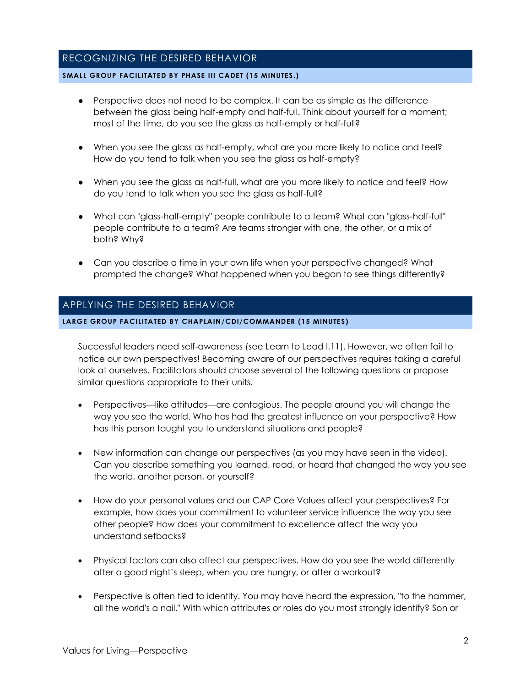# RECOGNIZING THE DESIRED BEHAVIOR

#### **SMALL GROUP FACILITATED BY PHASE III CADET (15 MINUTES.)**

- Perspective does not need to be complex. It can be as simple as the difference between the glass being half-empty and half-full. Think about yourself for a moment; most of the time, do you see the glass as half-empty or half-full?
- When you see the glass as half-empty, what are you more likely to notice and feel? How do you tend to talk when you see the glass as half-empty?
- When you see the glass as half-full, what are you more likely to notice and feel? How do you tend to talk when you see the glass as half-full?
- What can "glass-half-empty" people contribute to a team? What can "glass-half-full" people contribute to a team? Are teams stronger with one, the other, or a mix of both? Why?
- Can you describe a time in your own life when your perspective changed? What prompted the change? What happened when you began to see things differently?

## APPLYING THE DESIRED BEHAVIOR

#### **LARGE GROUP FACILITATED BY CHAPLAIN/CDI/COMMANDER (15 MINUTES)**

Successful leaders need self-awareness (see Learn to Lead I.11). However, we often fail to notice our own perspectives! Becoming aware of our perspectives requires taking a careful look at ourselves. Facilitators should choose several of the following questions or propose similar questions appropriate to their units.

- Perspectives—like attitudes—are contagious. The people around you will change the way you see the world. Who has had the greatest influence on your perspective? How has this person taught you to understand situations and people?
- New information can change our perspectives (as you may have seen in the video). Can you describe something you learned, read, or heard that changed the way you see the world, another person, or yourself?
- How do your personal values and our CAP Core Values affect your perspectives? For example, how does your commitment to volunteer service influence the way you see other people? How does your commitment to excellence affect the way you understand setbacks?
- Physical factors can also affect our perspectives. How do you see the world differently after a good night's sleep, when you are hungry, or after a workout?
- Perspective is often tied to identity. You may have heard the expression, "to the hammer, all the world's a nail." With which attributes or roles do you most strongly identify? Son or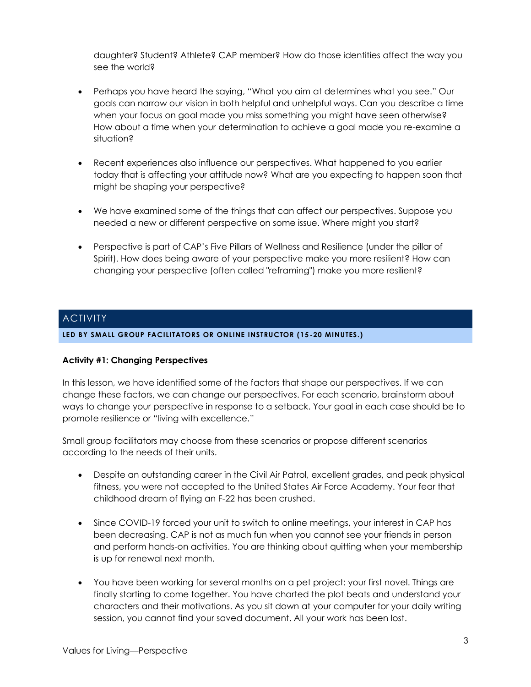daughter? Student? Athlete? CAP member? How do those identities affect the way you see the world?

- Perhaps you have heard the saying, "What you aim at determines what you see." Our goals can narrow our vision in both helpful and unhelpful ways. Can you describe a time when your focus on goal made you miss something you might have seen otherwise? How about a time when your determination to achieve a goal made you re-examine a situation?
- Recent experiences also influence our perspectives. What happened to you earlier today that is affecting your attitude now? What are you expecting to happen soon that might be shaping your perspective?
- We have examined some of the things that can affect our perspectives. Suppose you needed a new or different perspective on some issue. Where might you start?
- Perspective is part of CAP's Five Pillars of Wellness and Resilience (under the pillar of Spirit). How does being aware of your perspective make you more resilient? How can changing your perspective (often called "reframing") make you more resilient?

# **ACTIVITY**

**LED BY SMALL GROUP FACILITATORS OR ONLINE INSTRUCTOR (15 -20 MINUTES.)**

## **Activity #1: Changing Perspectives**

In this lesson, we have identified some of the factors that shape our perspectives. If we can change these factors, we can change our perspectives. For each scenario, brainstorm about ways to change your perspective in response to a setback. Your goal in each case should be to promote resilience or "living with excellence."

Small group facilitators may choose from these scenarios or propose different scenarios according to the needs of their units.

- Despite an outstanding career in the Civil Air Patrol, excellent grades, and peak physical fitness, you were not accepted to the United States Air Force Academy. Your fear that childhood dream of flying an F-22 has been crushed.
- Since COVID-19 forced your unit to switch to online meetings, your interest in CAP has been decreasing. CAP is not as much fun when you cannot see your friends in person and perform hands-on activities. You are thinking about quitting when your membership is up for renewal next month.
- You have been working for several months on a pet project: your first novel. Things are finally starting to come together. You have charted the plot beats and understand your characters and their motivations. As you sit down at your computer for your daily writing session, you cannot find your saved document. All your work has been lost.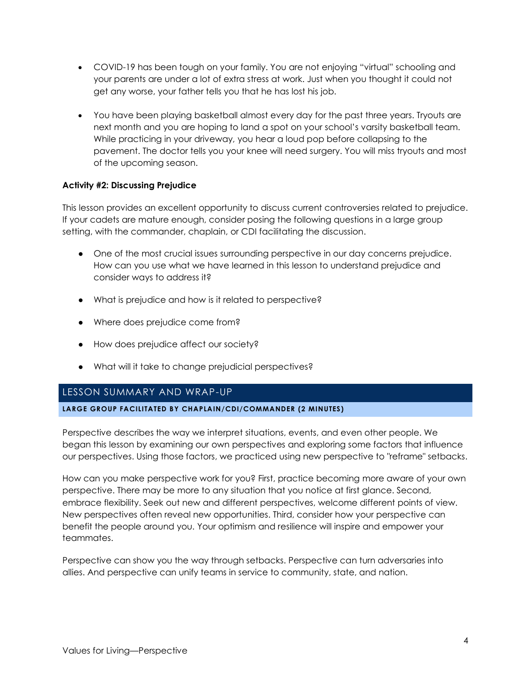- COVID-19 has been tough on your family. You are not enjoying "virtual" schooling and your parents are under a lot of extra stress at work. Just when you thought it could not get any worse, your father tells you that he has lost his job.
- You have been playing basketball almost every day for the past three years. Tryouts are next month and you are hoping to land a spot on your school's varsity basketball team. While practicing in your driveway, you hear a loud pop before collapsing to the pavement. The doctor tells you your knee will need surgery. You will miss tryouts and most of the upcoming season.

## **Activity #2: Discussing Prejudice**

This lesson provides an excellent opportunity to discuss current controversies related to prejudice. If your cadets are mature enough, consider posing the following questions in a large group setting, with the commander, chaplain, or CDI facilitating the discussion.

- One of the most crucial issues surrounding perspective in our day concerns prejudice. How can you use what we have learned in this lesson to understand prejudice and consider ways to address it?
- What is prejudice and how is it related to perspective?
- Where does prejudice come from?
- How does prejudice affect our society?
- What will it take to change prejudicial perspectives?

# LESSON SUMMARY AND WRAP-UP

## **LARGE GROUP FACILITATED BY CHAPLAIN/CDI/COMMANDER (2 MINUTES)**

Perspective describes the way we interpret situations, events, and even other people. We began this lesson by examining our own perspectives and exploring some factors that influence our perspectives. Using those factors, we practiced using new perspective to "reframe" setbacks.

How can you make perspective work for you? First, practice becoming more aware of your own perspective. There may be more to any situation that you notice at first glance. Second, embrace flexibility. Seek out new and different perspectives, welcome different points of view. New perspectives often reveal new opportunities. Third, consider how your perspective can benefit the people around you. Your optimism and resilience will inspire and empower your teammates.

Perspective can show you the way through setbacks. Perspective can turn adversaries into allies. And perspective can unify teams in service to community, state, and nation.